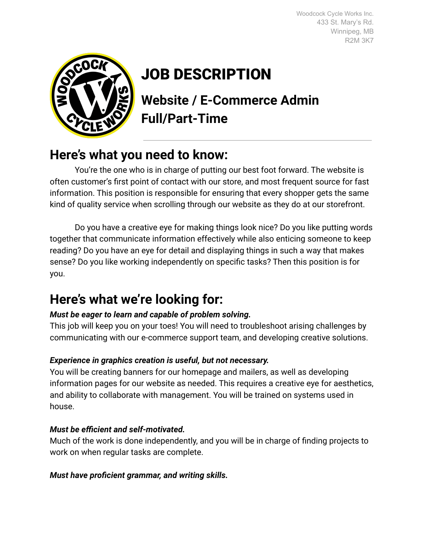Woodcock Cycle Works Inc. 433 St. Mary's Rd. Winnipeg, MB R2M 3K7



# JOB DESCRIPTION

**Website / E-Commerce Admin Full/Part-Time**

### **Here's what you need to know:**

You're the one who is in charge of putting our best foot forward. The website is often customer's first point of contact with our store, and most frequent source for fast information. This position is responsible for ensuring that every shopper gets the same kind of quality service when scrolling through our website as they do at our storefront.

Do you have a creative eye for making things look nice? Do you like putting words together that communicate information effectively while also enticing someone to keep reading? Do you have an eye for detail and displaying things in such a way that makes sense? Do you like working independently on specific tasks? Then this position is for you.

## **Here's what we're looking for:**

#### *Must be eager to learn and capable of problem solving.*

This job will keep you on your toes! You will need to troubleshoot arising challenges by communicating with our e-commerce support team, and developing creative solutions.

#### *Experience in graphics creation is useful, but not necessary.*

You will be creating banners for our homepage and mailers, as well as developing information pages for our website as needed. This requires a creative eye for aesthetics, and ability to collaborate with management. You will be trained on systems used in house.

#### *Must be efficient and self-motivated.*

Much of the work is done independently, and you will be in charge of finding projects to work on when regular tasks are complete.

#### *Must have proficient grammar, and writing skills.*